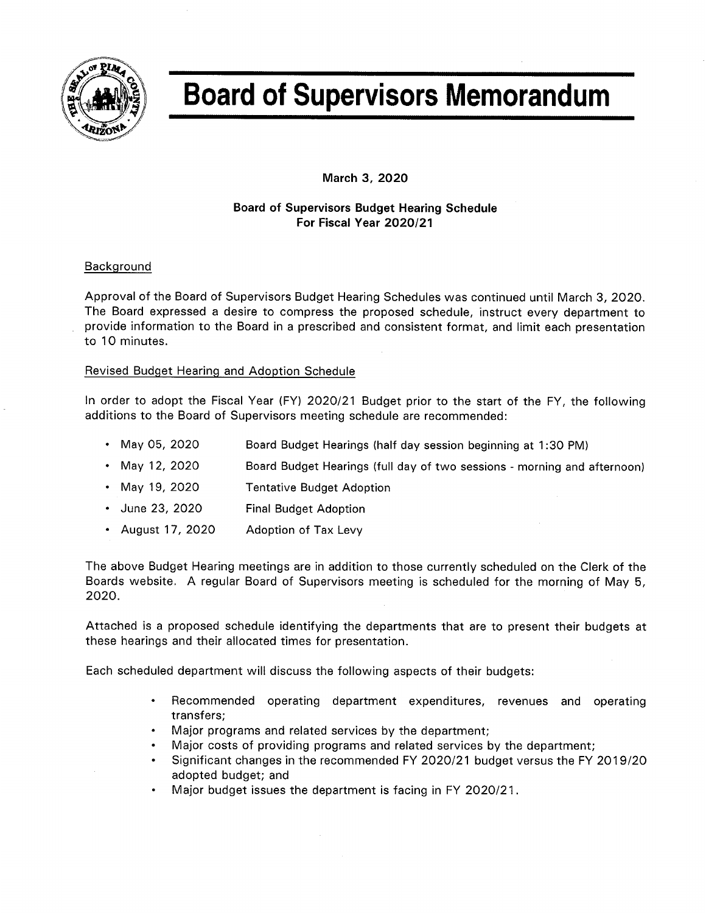

# **Board of Supervisors Memorandum**

March 3, 2020

# **Board of Supervisors Budget Hearing Schedule** For Fiscal Year 2020/21

# Background

Approval of the Board of Supervisors Budget Hearing Schedules was continued until March 3, 2020. The Board expressed a desire to compress the proposed schedule, instruct every department to provide information to the Board in a prescribed and consistent format, and limit each presentation to 10 minutes.

## Revised Budget Hearing and Adoption Schedule

In order to adopt the Fiscal Year (FY) 2020/21 Budget prior to the start of the FY, the following additions to the Board of Supervisors meeting schedule are recommended:

- May 05, 2020 Board Budget Hearings (half day session beginning at 1:30 PM)
- May 12, 2020 Board Budget Hearings (full day of two sessions - morning and afternoon)
- May 19, 2020 **Tentative Budget Adoption**
- June 23, 2020 **Final Budget Adoption**
- August 17, 2020 Adoption of Tax Levy

The above Budget Hearing meetings are in addition to those currently scheduled on the Clerk of the Boards website. A regular Board of Supervisors meeting is scheduled for the morning of May 5, 2020.

Attached is a proposed schedule identifying the departments that are to present their budgets at these hearings and their allocated times for presentation.

Each scheduled department will discuss the following aspects of their budgets:

- Recommended operating department expenditures, revenues and operating  $\bullet$  . transfers;
- Major programs and related services by the department;
- Major costs of providing programs and related services by the department;
- Significant changes in the recommended FY 2020/21 budget versus the FY 2019/20 adopted budget; and
- Major budget issues the department is facing in FY 2020/21.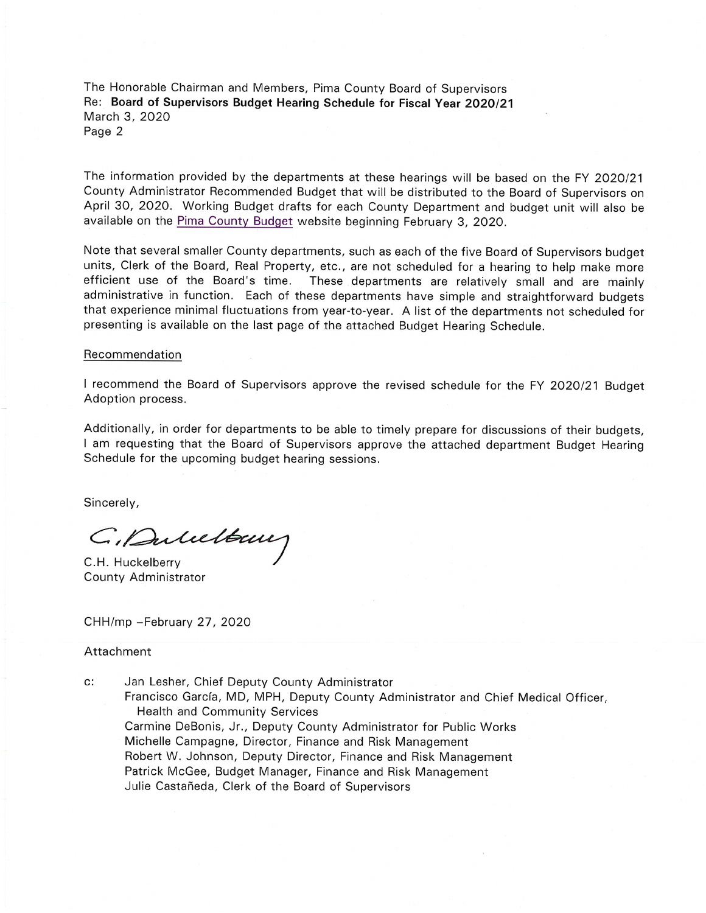The Honorable Chairman and Members, Pima County Board of Supervisors Re: Board of Supervisors Budget Hearing Schedule for Fiscal Year 2020/21 March 3, 2020 Page 2

The information provided by the departments at these hearings will be based on the FY 2020/21 County Administrator Recommended Budget that will be distributed to the Board of Supervisors on April 30, 2020. Working Budget drafts for each County Department and budget unit will also be available on the Pima County Budget website beginning February 3, 2020.

Note that several smaller County departments, such as each of the five Board of Supervisors budget units, Clerk of the Board, Real Property, etc., are not scheduled for a hearing to help make more efficient use of the Board's time. These departments are relatively small and are mainly administrative in function. Each of these departments have simple and straightforward budgets that experience minimal fluctuations from year-to-year. A list of the departments not scheduled for presenting is available on the last page of the attached Budget Hearing Schedule.

#### Recommendation

I recommend the Board of Supervisors approve the revised schedule for the FY 2020/21 Budget Adoption process.

Additionally, in order for departments to be able to timely prepare for discussions of their budgets, I am requesting that the Board of Supervisors approve the attached department Budget Hearing Schedule for the upcoming budget hearing sessions.

Sincerely,

Gilancetony

C.H. Huckelberry County Administrator

CHH/mp -February 27, 2020

#### Attachment

 $c$ : Jan Lesher, Chief Deputy County Administrator Francisco García, MD, MPH, Deputy County Administrator and Chief Medical Officer, **Health and Community Services** Carmine DeBonis, Jr., Deputy County Administrator for Public Works Michelle Campagne, Director, Finance and Risk Management Robert W. Johnson, Deputy Director, Finance and Risk Management Patrick McGee, Budget Manager, Finance and Risk Management Julie Castañeda, Clerk of the Board of Supervisors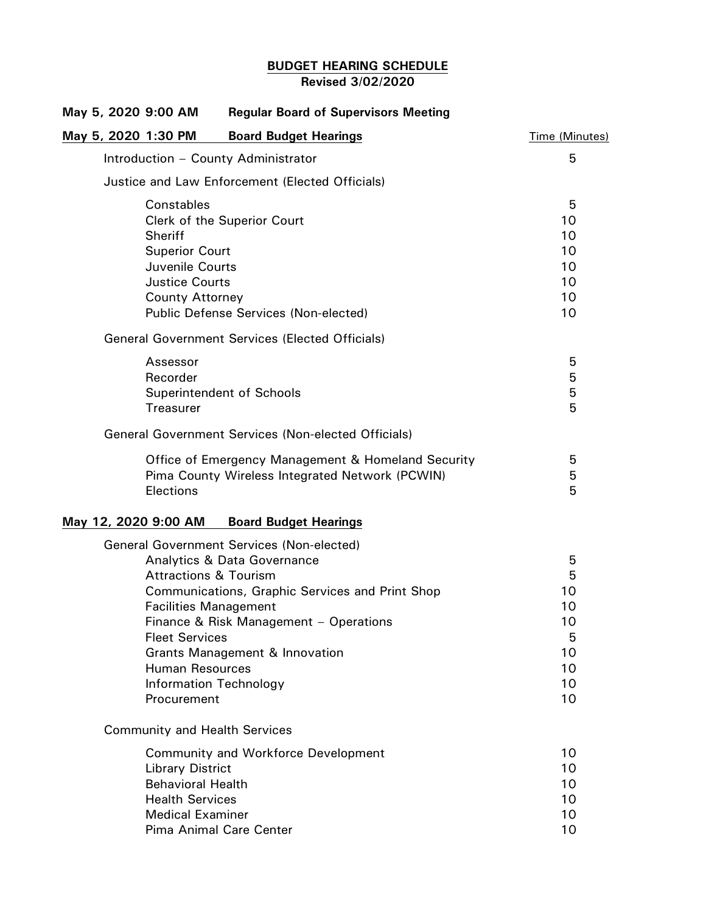# **BUDGET HEARING SCHEDULE Revised 3/02/2020**

|  |  |                                                            | May 5, 2020 9:00 AM                             | <b>Regular Board of Supervisors Meeting</b>        |                |
|--|--|------------------------------------------------------------|-------------------------------------------------|----------------------------------------------------|----------------|
|  |  |                                                            | May 5, 2020 1:30 PM                             | <b>Board Budget Hearings</b>                       | Time (Minutes) |
|  |  |                                                            |                                                 | Introduction - County Administrator                | 5              |
|  |  | Justice and Law Enforcement (Elected Officials)            |                                                 |                                                    |                |
|  |  |                                                            | Constables                                      |                                                    | 5              |
|  |  |                                                            |                                                 | Clerk of the Superior Court                        | 10             |
|  |  |                                                            | Sheriff                                         |                                                    | 10             |
|  |  |                                                            | <b>Superior Court</b>                           |                                                    | 10             |
|  |  |                                                            | Juvenile Courts                                 |                                                    | 10             |
|  |  |                                                            | <b>Justice Courts</b><br><b>County Attorney</b> |                                                    | 10<br>10       |
|  |  |                                                            | 10                                              |                                                    |                |
|  |  | <b>General Government Services (Elected Officials)</b>     |                                                 |                                                    |                |
|  |  |                                                            | Assessor                                        |                                                    | 5              |
|  |  |                                                            | Recorder                                        |                                                    | 5              |
|  |  |                                                            | Superintendent of Schools                       |                                                    | 5              |
|  |  |                                                            | <b>Treasurer</b>                                |                                                    | 5              |
|  |  | <b>General Government Services (Non-elected Officials)</b> |                                                 |                                                    |                |
|  |  |                                                            |                                                 | Office of Emergency Management & Homeland Security | 5              |
|  |  |                                                            |                                                 | Pima County Wireless Integrated Network (PCWIN)    | 5              |
|  |  |                                                            | Elections                                       |                                                    | 5              |
|  |  |                                                            | May 12, 2020 9:00 AM                            | <b>Board Budget Hearings</b>                       |                |
|  |  |                                                            |                                                 | <b>General Government Services (Non-elected)</b>   |                |
|  |  |                                                            |                                                 | <b>Analytics &amp; Data Governance</b>             | 5              |
|  |  |                                                            | <b>Attractions &amp; Tourism</b>                |                                                    | 5              |
|  |  |                                                            |                                                 | Communications, Graphic Services and Print Shop    | 10             |
|  |  |                                                            | <b>Facilities Management</b>                    |                                                    | 10             |
|  |  |                                                            |                                                 | Finance & Risk Management - Operations             | 10             |
|  |  |                                                            | <b>Fleet Services</b>                           |                                                    | 5              |
|  |  |                                                            |                                                 | <b>Grants Management &amp; Innovation</b>          | 10             |
|  |  |                                                            | Human Resources                                 |                                                    | 10<br>10       |
|  |  |                                                            | <b>Information Technology</b><br>Procurement    |                                                    | 10             |
|  |  |                                                            | <b>Community and Health Services</b>            |                                                    |                |
|  |  |                                                            | 10                                              |                                                    |                |
|  |  |                                                            | <b>Library District</b>                         | <b>Community and Workforce Development</b>         | 10             |
|  |  |                                                            | <b>Behavioral Health</b>                        |                                                    | 10             |
|  |  |                                                            | <b>Health Services</b>                          |                                                    | 10             |
|  |  |                                                            | <b>Medical Examiner</b>                         |                                                    | 10             |
|  |  |                                                            | Pima Animal Care Center                         |                                                    | 10             |
|  |  |                                                            |                                                 |                                                    |                |